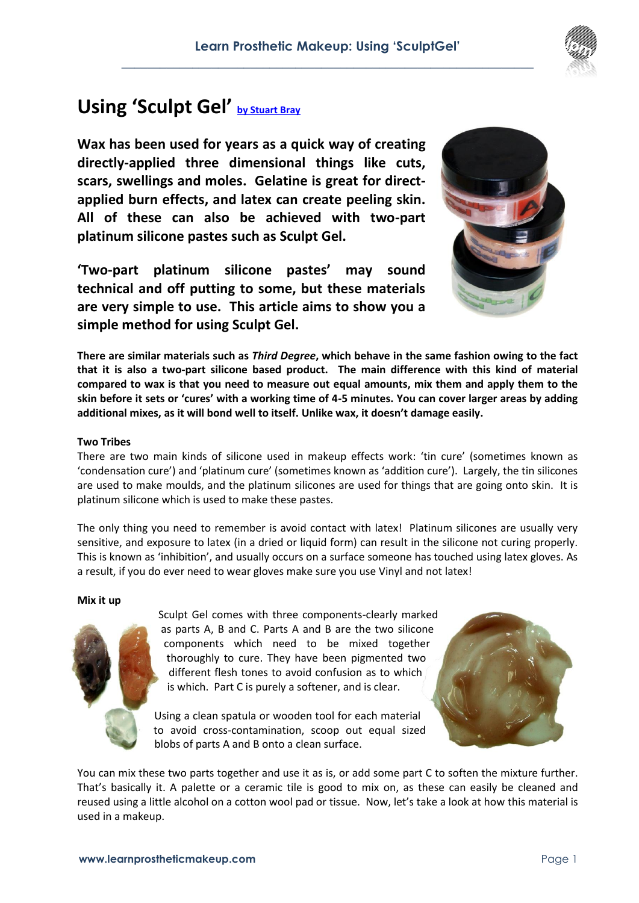# **Using 'Sculpt Gel' [by Stuart Bray](http://www.learnprostheticmakeup.com/page2.htm)**

**Wax has been used for years as a quick way of creating directly-applied three dimensional things like cuts, scars, swellings and moles. Gelatine is great for directapplied burn effects, and latex can create peeling skin. All of these can also be achieved with two-part platinum silicone pastes such as Sculpt Gel.**

**'Two-part platinum silicone pastes' may sound technical and off putting to some, but these materials are very simple to use. This article aims to show you a simple method for using Sculpt Gel.** 



**There are similar materials such as** *Third Degree***, which behave in the same fashion owing to the fact that it is also a two-part silicone based product. The main difference with this kind of material compared to wax is that you need to measure out equal amounts, mix them and apply them to the skin before it sets or 'cures' with a working time of 4-5 minutes. You can cover larger areas by adding additional mixes, as it will bond well to itself. Unlike wax, it doesn't damage easily.**

# **Two Tribes**

There are two main kinds of silicone used in makeup effects work: 'tin cure' (sometimes known as 'condensation cure') and 'platinum cure' (sometimes known as 'addition cure'). Largely, the tin silicones are used to make moulds, and the platinum silicones are used for things that are going onto skin. It is platinum silicone which is used to make these pastes.

The only thing you need to remember is avoid contact with latex! Platinum silicones are usually very sensitive, and exposure to latex (in a dried or liquid form) can result in the silicone not curing properly. This is known as 'inhibition', and usually occurs on a surface someone has touched using latex gloves. As a result, if you do ever need to wear gloves make sure you use Vinyl and not latex!

## **Mix it up**



Sculpt Gel comes with three components-clearly marked as parts A, B and C. Parts A and B are the two silicone components which need to be mixed together thoroughly to cure. They have been pigmented two different flesh tones to avoid confusion as to which is which. Part C is purely a softener, and is clear.

Using a clean spatula or wooden tool for each material to avoid cross-contamination, scoop out equal sized blobs of parts A and B onto a clean surface.



You can mix these two parts together and use it as is, or add some part C to soften the mixture further. That's basically it. A palette or a ceramic tile is good to mix on, as these can easily be cleaned and reused using a little alcohol on a cotton wool pad or tissue. Now, let's take a look at how this material is used in a makeup.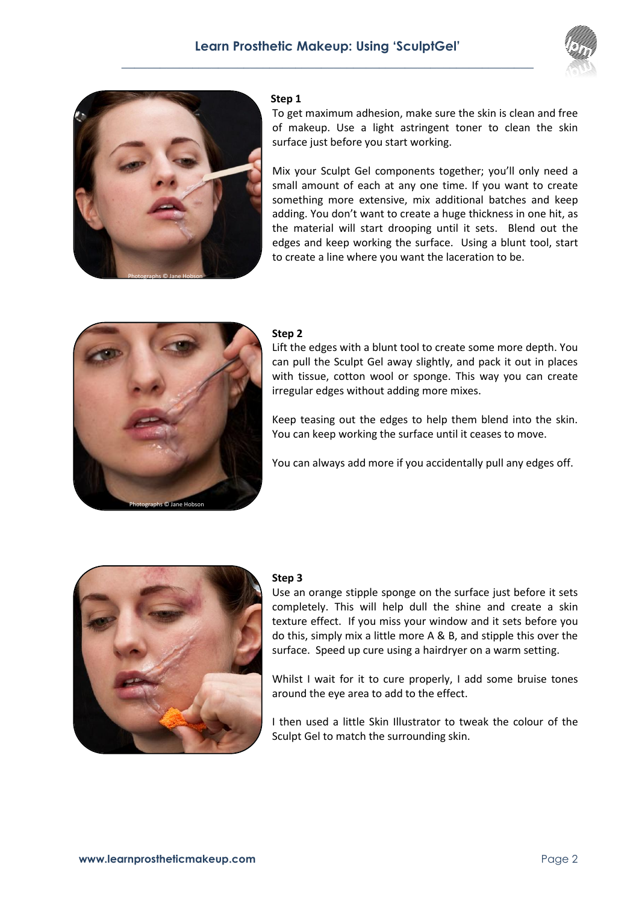



#### **Step 1**

To get maximum adhesion, make sure the skin is clean and free of makeup. Use a light astringent toner to clean the skin surface just before you start working.

Mix your Sculpt Gel components together; you'll only need a small amount of each at any one time. If you want to create something more extensive, mix additional batches and keep adding. You don't want to create a huge thickness in one hit, as the material will start drooping until it sets. Blend out the edges and keep working the surface. Using a blunt tool, start to create a line where you want the laceration to be.



# **Step 2**

Lift the edges with a blunt tool to create some more depth. You can pull the Sculpt Gel away slightly, and pack it out in places with tissue, cotton wool or sponge. This way you can create irregular edges without adding more mixes.

Keep teasing out the edges to help them blend into the skin. You can keep working the surface until it ceases to move.

You can always add more if you accidentally pull any edges off.



## **Step 3**

Use an orange stipple sponge on the surface just before it sets completely. This will help dull the shine and create a skin texture effect. If you miss your window and it sets before you do this, simply mix a little more A & B, and stipple this over the surface. Speed up cure using a hairdryer on a warm setting.

Whilst I wait for it to cure properly, I add some bruise tones around the eye area to add to the effect.

I then used a little Skin Illustrator to tweak the colour of the Sculpt Gel to match the surrounding skin.